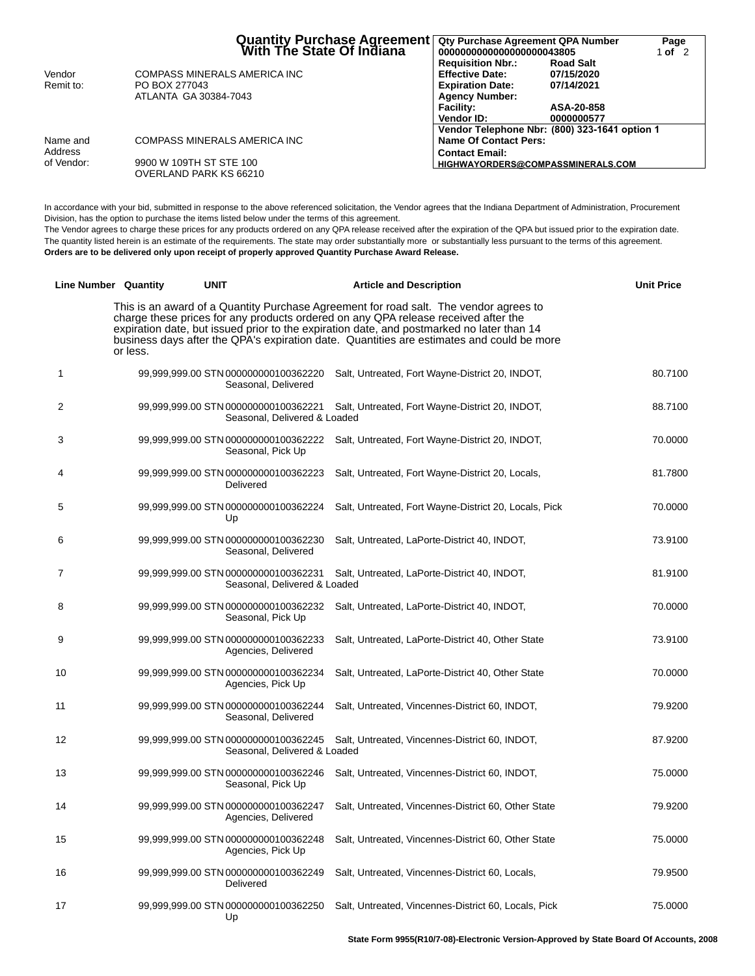|            | Quantity Purchase Agreement   Qty Purchase Agreement QPA Number<br>With The State Of Indiana   0000000000000000000043805 |                                               |                  | Page<br>1 of $2$ |
|------------|--------------------------------------------------------------------------------------------------------------------------|-----------------------------------------------|------------------|------------------|
|            |                                                                                                                          | <b>Requisition Nbr.:</b>                      | <b>Road Salt</b> |                  |
| Vendor     | COMPASS MINERALS AMERICA INC                                                                                             | <b>Effective Date:</b>                        | 07/15/2020       |                  |
| Remit to:  | PO BOX 277043                                                                                                            | <b>Expiration Date:</b>                       | 07/14/2021       |                  |
|            | ATLANTA GA 30384-7043                                                                                                    | <b>Agency Number:</b>                         |                  |                  |
|            |                                                                                                                          | <b>Facility:</b>                              | ASA-20-858       |                  |
|            |                                                                                                                          | Vendor ID:                                    | 0000000577       |                  |
|            |                                                                                                                          | Vendor Telephone Nbr: (800) 323-1641 option 1 |                  |                  |
| Name and   | COMPASS MINERALS AMERICA INC                                                                                             | Name Of Contact Pers:                         |                  |                  |
| Address    |                                                                                                                          | <b>Contact Email:</b>                         |                  |                  |
| of Vendor: | 9900 W 109TH ST STE 100                                                                                                  | HIGHWAYORDERS@COMPASSMINERALS.COM             |                  |                  |
|            | OVERLAND PARK KS 66210                                                                                                   |                                               |                  |                  |

In accordance with your bid, submitted in response to the above referenced solicitation, the Vendor agrees that the Indiana Department of Administration, Procurement Division, has the option to purchase the items listed below under the terms of this agreement.

The Vendor agrees to charge these prices for any products ordered on any QPA release received after the expiration of the QPA but issued prior to the expiration date. The quantity listed herein is an estimate of the requirements. The state may order substantially more or substantially less pursuant to the terms of this agreement. **Orders are to be delivered only upon receipt of properly approved Quantity Purchase Award Release.**

|                | <b>Line Number</b> Quantity | <b>UNIT</b>                                                          | <b>Article and Description</b>                                                                                                                                                                                                                                                                                                                                        | <b>Unit Price</b> |
|----------------|-----------------------------|----------------------------------------------------------------------|-----------------------------------------------------------------------------------------------------------------------------------------------------------------------------------------------------------------------------------------------------------------------------------------------------------------------------------------------------------------------|-------------------|
|                | or less.                    |                                                                      | This is an award of a Quantity Purchase Agreement for road salt. The vendor agrees to<br>charge these prices for any products ordered on any QPA release received after the<br>expiration date, but issued prior to the expiration date, and postmarked no later than 14<br>business days after the QPA's expiration date. Quantities are estimates and could be more |                   |
| 1              |                             | 99,999,999.00 STN 000000000100362220<br>Seasonal, Delivered          | Salt, Untreated, Fort Wayne-District 20, INDOT,                                                                                                                                                                                                                                                                                                                       | 80.7100           |
| $\overline{2}$ |                             | 99,999,999.00 STN 000000000100362221<br>Seasonal, Delivered & Loaded | Salt, Untreated, Fort Wayne-District 20, INDOT,                                                                                                                                                                                                                                                                                                                       | 88.7100           |
| 3              |                             | 99,999,999.00 STN 000000000100362222<br>Seasonal, Pick Up            | Salt, Untreated, Fort Wayne-District 20, INDOT,                                                                                                                                                                                                                                                                                                                       | 70.0000           |
| 4              |                             | 99,999,999.00 STN 000000000100362223<br>Delivered                    | Salt, Untreated, Fort Wayne-District 20, Locals,                                                                                                                                                                                                                                                                                                                      | 81.7800           |
| 5              |                             | 99,999,999.00 STN 000000000100362224<br>Up                           | Salt, Untreated, Fort Wayne-District 20, Locals, Pick                                                                                                                                                                                                                                                                                                                 | 70.0000           |
| 6              |                             | 99,999,999.00 STN 000000000100362230<br>Seasonal, Delivered          | Salt, Untreated, LaPorte-District 40, INDOT,                                                                                                                                                                                                                                                                                                                          | 73.9100           |
| $\overline{7}$ |                             | 99,999,999.00 STN 000000000100362231<br>Seasonal, Delivered & Loaded | Salt, Untreated, LaPorte-District 40, INDOT,                                                                                                                                                                                                                                                                                                                          | 81.9100           |
| 8              |                             | 99,999,999.00 STN 000000000100362232<br>Seasonal, Pick Up            | Salt, Untreated, LaPorte-District 40, INDOT,                                                                                                                                                                                                                                                                                                                          | 70.0000           |
| 9              |                             | 99,999,999.00 STN 000000000100362233<br>Agencies, Delivered          | Salt, Untreated, LaPorte-District 40, Other State                                                                                                                                                                                                                                                                                                                     | 73.9100           |
| 10             |                             | 99,999,999.00 STN 000000000100362234<br>Agencies, Pick Up            | Salt, Untreated, LaPorte-District 40, Other State                                                                                                                                                                                                                                                                                                                     | 70.0000           |
| 11             |                             | 99,999,999.00 STN 000000000100362244<br>Seasonal, Delivered          | Salt, Untreated, Vincennes-District 60, INDOT,                                                                                                                                                                                                                                                                                                                        | 79.9200           |
| 12             |                             | 99,999,999.00 STN 000000000100362245<br>Seasonal, Delivered & Loaded | Salt, Untreated, Vincennes-District 60, INDOT,                                                                                                                                                                                                                                                                                                                        | 87.9200           |
| 13             |                             | 99,999,999.00 STN 000000000100362246<br>Seasonal, Pick Up            | Salt, Untreated, Vincennes-District 60, INDOT,                                                                                                                                                                                                                                                                                                                        | 75.0000           |
| 14             |                             | 99,999,999.00 STN 000000000100362247<br>Agencies, Delivered          | Salt, Untreated, Vincennes-District 60, Other State                                                                                                                                                                                                                                                                                                                   | 79.9200           |
| 15             |                             | 99,999,999.00 STN 000000000100362248<br>Agencies, Pick Up            | Salt, Untreated, Vincennes-District 60, Other State                                                                                                                                                                                                                                                                                                                   | 75.0000           |
| 16             |                             | 99,999,999.00 STN 000000000100362249<br>Delivered                    | Salt, Untreated, Vincennes-District 60, Locals,                                                                                                                                                                                                                                                                                                                       | 79.9500           |
| 17             |                             | Up                                                                   | 99,999,999.00 STN 000000000100362250 Salt, Untreated, Vincennes-District 60, Locals, Pick                                                                                                                                                                                                                                                                             | 75.0000           |